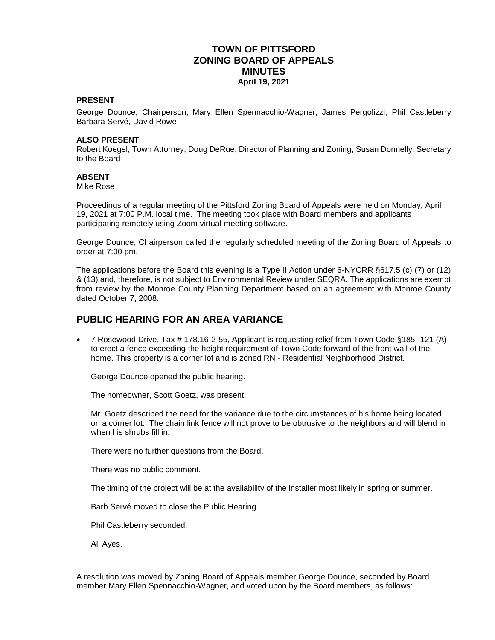## **TOWN OF PITTSFORD ZONING BOARD OF APPEALS MINUTES April 19, 2021**

#### **PRESENT**

George Dounce, Chairperson; Mary Ellen Spennacchio-Wagner, James Pergolizzi, Phil Castleberry Barbara Servé, David Rowe

#### **ALSO PRESENT**

Robert Koegel, Town Attorney; Doug DeRue, Director of Planning and Zoning; Susan Donnelly, Secretary to the Board

#### **ABSENT**

Mike Rose

Proceedings of a regular meeting of the Pittsford Zoning Board of Appeals were held on Monday, April 19, 2021 at 7:00 P.M. local time. The meeting took place with Board members and applicants participating remotely using Zoom virtual meeting software.

George Dounce, Chairperson called the regularly scheduled meeting of the Zoning Board of Appeals to order at 7:00 pm.

The applications before the Board this evening is a Type II Action under 6-NYCRR §617.5 (c) (7) or (12) & (13) and, therefore, is not subject to Environmental Review under SEQRA. The applications are exempt from review by the Monroe County Planning Department based on an agreement with Monroe County dated October 7, 2008.

### **PUBLIC HEARING FOR AN AREA VARIANCE**

 7 Rosewood Drive, Tax # 178.16-2-55, Applicant is requesting relief from Town Code §185- 121 (A) to erect a fence exceeding the height requirement of Town Code forward of the front wall of the home. This property is a corner lot and is zoned RN - Residential Neighborhood District.

George Dounce opened the public hearing.

The homeowner, Scott Goetz, was present.

Mr. Goetz described the need for the variance due to the circumstances of his home being located on a corner lot. The chain link fence will not prove to be obtrusive to the neighbors and will blend in when his shrubs fill in.

There were no further questions from the Board.

There was no public comment.

The timing of the project will be at the availability of the installer most likely in spring or summer.

Barb Servé moved to close the Public Hearing.

Phil Castleberry seconded.

All Ayes.

A resolution was moved by Zoning Board of Appeals member George Dounce, seconded by Board member Mary Ellen Spennacchio-Wagner, and voted upon by the Board members, as follows: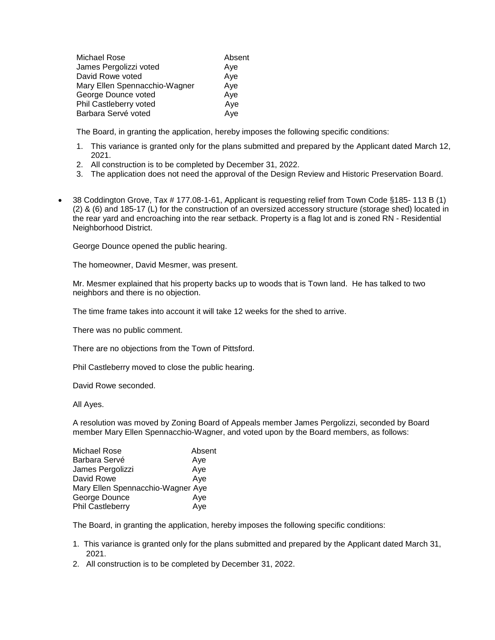| Michael Rose                  | Absent |
|-------------------------------|--------|
| James Pergolizzi voted        | Aye    |
| David Rowe voted              | Aye    |
| Mary Ellen Spennacchio-Wagner | Aye    |
| George Dounce voted           | Aye    |
| Phil Castleberry voted        | Aye    |
| Barbara Servé voted           | Aye    |

The Board, in granting the application, hereby imposes the following specific conditions:

- 1. This variance is granted only for the plans submitted and prepared by the Applicant dated March 12, 2021.
- 2. All construction is to be completed by December 31, 2022.
- 3. The application does not need the approval of the Design Review and Historic Preservation Board.
- 38 Coddington Grove, Tax # 177.08-1-61, Applicant is requesting relief from Town Code §185- 113 B (1) (2) & (6) and 185-17 (L) for the construction of an oversized accessory structure (storage shed) located in the rear yard and encroaching into the rear setback. Property is a flag lot and is zoned RN - Residential Neighborhood District.

George Dounce opened the public hearing.

The homeowner, David Mesmer, was present.

Mr. Mesmer explained that his property backs up to woods that is Town land. He has talked to two neighbors and there is no objection.

The time frame takes into account it will take 12 weeks for the shed to arrive.

There was no public comment.

There are no objections from the Town of Pittsford.

Phil Castleberry moved to close the public hearing.

David Rowe seconded.

All Ayes.

A resolution was moved by Zoning Board of Appeals member James Pergolizzi, seconded by Board member Mary Ellen Spennacchio-Wagner, and voted upon by the Board members, as follows:

| Michael Rose                      | Absent |
|-----------------------------------|--------|
| Barbara Servé                     | Aye    |
| James Pergolizzi                  | Aye    |
| David Rowe                        | Aye    |
| Mary Ellen Spennacchio-Wagner Aye |        |
| George Dounce                     | Aye    |
| <b>Phil Castleberry</b>           | Aye    |

The Board, in granting the application, hereby imposes the following specific conditions:

- 1. This variance is granted only for the plans submitted and prepared by the Applicant dated March 31, 2021.
- 2. All construction is to be completed by December 31, 2022.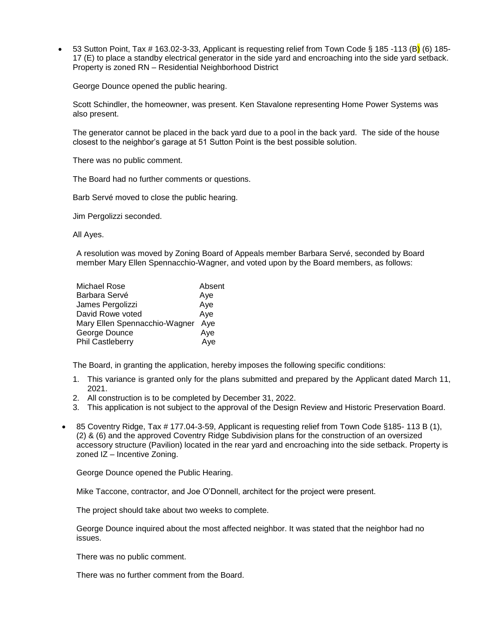53 Sutton Point, Tax # 163.02-3-33, Applicant is requesting relief from Town Code § 185 -113 (B) (6) 185- 17 (E) to place a standby electrical generator in the side yard and encroaching into the side yard setback. Property is zoned RN – Residential Neighborhood District

George Dounce opened the public hearing.

Scott Schindler, the homeowner, was present. Ken Stavalone representing Home Power Systems was also present.

The generator cannot be placed in the back yard due to a pool in the back yard. The side of the house closest to the neighbor's garage at 51 Sutton Point is the best possible solution.

There was no public comment.

The Board had no further comments or questions.

Barb Servé moved to close the public hearing.

Jim Pergolizzi seconded.

All Ayes.

A resolution was moved by Zoning Board of Appeals member Barbara Servé, seconded by Board member Mary Ellen Spennacchio-Wagner, and voted upon by the Board members, as follows:

| Absent |
|--------|
| Aye    |
| Aye    |
| Aye    |
| Ave    |
| Aye    |
| Aye    |
|        |

The Board, in granting the application, hereby imposes the following specific conditions:

- 1. This variance is granted only for the plans submitted and prepared by the Applicant dated March 11, 2021.
- 2. All construction is to be completed by December 31, 2022.
- 3. This application is not subject to the approval of the Design Review and Historic Preservation Board.
- 85 Coventry Ridge, Tax # 177.04-3-59, Applicant is requesting relief from Town Code §185- 113 B (1), (2) & (6) and the approved Coventry Ridge Subdivision plans for the construction of an oversized accessory structure (Pavilion) located in the rear yard and encroaching into the side setback. Property is zoned IZ – Incentive Zoning.

George Dounce opened the Public Hearing.

Mike Taccone, contractor, and Joe O'Donnell, architect for the project were present.

The project should take about two weeks to complete.

George Dounce inquired about the most affected neighbor. It was stated that the neighbor had no issues.

There was no public comment.

There was no further comment from the Board.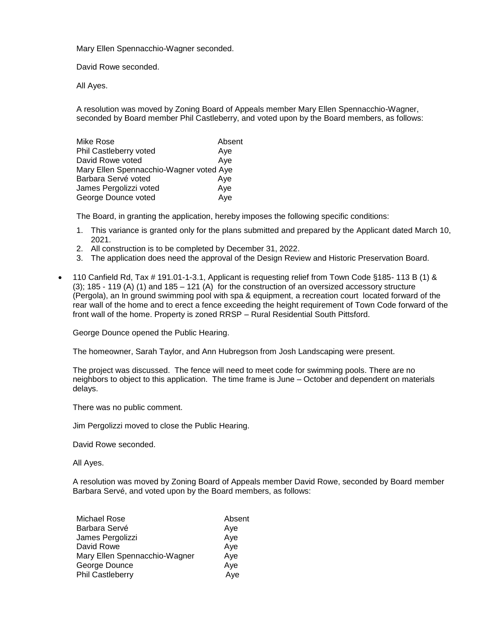Mary Ellen Spennacchio-Wagner seconded.

David Rowe seconded.

All Ayes.

A resolution was moved by Zoning Board of Appeals member Mary Ellen Spennacchio-Wagner, seconded by Board member Phil Castleberry, and voted upon by the Board members, as follows:

| Mike Rose                               | Absent |
|-----------------------------------------|--------|
| Phil Castleberry voted                  | Ave    |
| David Rowe voted                        | Aye    |
| Mary Ellen Spennacchio-Wagner voted Aye |        |
| Barbara Servé voted                     | Aye    |
| James Pergolizzi voted                  | Aye    |
| George Dounce voted                     | Aye    |

The Board, in granting the application, hereby imposes the following specific conditions:

- 1. This variance is granted only for the plans submitted and prepared by the Applicant dated March 10, 2021.
- 2. All construction is to be completed by December 31, 2022.
- 3. The application does need the approval of the Design Review and Historic Preservation Board.
- 110 Canfield Rd, Tax # 191.01-1-3.1, Applicant is requesting relief from Town Code §185- 113 B (1) & (3); 185 - 119 (A) (1) and 185 – 121 (A) for the construction of an oversized accessory structure (Pergola), an In ground swimming pool with spa & equipment, a recreation court located forward of the rear wall of the home and to erect a fence exceeding the height requirement of Town Code forward of the front wall of the home. Property is zoned RRSP – Rural Residential South Pittsford.

George Dounce opened the Public Hearing.

The homeowner, Sarah Taylor, and Ann Hubregson from Josh Landscaping were present.

The project was discussed. The fence will need to meet code for swimming pools. There are no neighbors to object to this application. The time frame is June – October and dependent on materials delays.

There was no public comment.

Jim Pergolizzi moved to close the Public Hearing.

David Rowe seconded.

All Ayes.

A resolution was moved by Zoning Board of Appeals member David Rowe, seconded by Board member Barbara Servé, and voted upon by the Board members, as follows:

| Michael Rose                  | Absent |
|-------------------------------|--------|
| Barbara Servé                 | Ave    |
| James Pergolizzi              | Aye    |
| David Rowe                    | Aye    |
| Mary Ellen Spennacchio-Wagner | Aye    |
| George Dounce                 | Aye    |
| Phil Castleberry              | Aye    |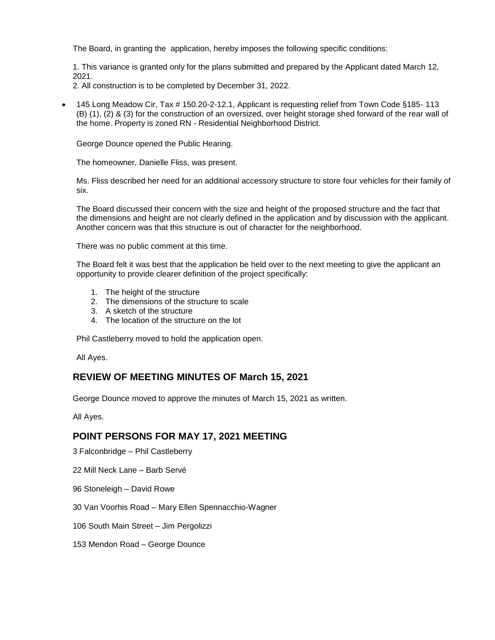The Board, in granting the application, hereby imposes the following specific conditions:

1. This variance is granted only for the plans submitted and prepared by the Applicant dated March 12, 2021.

2. All construction is to be completed by December 31, 2022.

 145 Long Meadow Cir, Tax # 150.20-2-12.1, Applicant is requesting relief from Town Code §185- 113 (B) (1), (2) & (3) for the construction of an oversized, over height storage shed forward of the rear wall of the home. Property is zoned RN - Residential Neighborhood District.

George Dounce opened the Public Hearing.

The homeowner, Danielle Fliss, was present.

Ms. Fliss described her need for an additional accessory structure to store four vehicles for their family of six.

The Board discussed their concern with the size and height of the proposed structure and the fact that the dimensions and height are not clearly defined in the application and by discussion with the applicant. Another concern was that this structure is out of character for the neighborhood.

There was no public comment at this time.

The Board felt it was best that the application be held over to the next meeting to give the applicant an opportunity to provide clearer definition of the project specifically:

- 1. The height of the structure
- 2. The dimensions of the structure to scale
- 3. A sketch of the structure
- 4. The location of the structure on the lot

Phil Castleberry moved to hold the application open.

All Ayes.

### **REVIEW OF MEETING MINUTES OF March 15, 2021**

George Dounce moved to approve the minutes of March 15, 2021 as written.

All Ayes.

### **POINT PERSONS FOR MAY 17, 2021 MEETING**

3 Falconbridge – Phil Castleberry

22 Mill Neck Lane – Barb Servé

96 Stoneleigh – David Rowe

30 Van Voorhis Road – Mary Ellen Spennacchio-Wagner

106 South Main Street – Jim Pergolizzi

153 Mendon Road – George Dounce